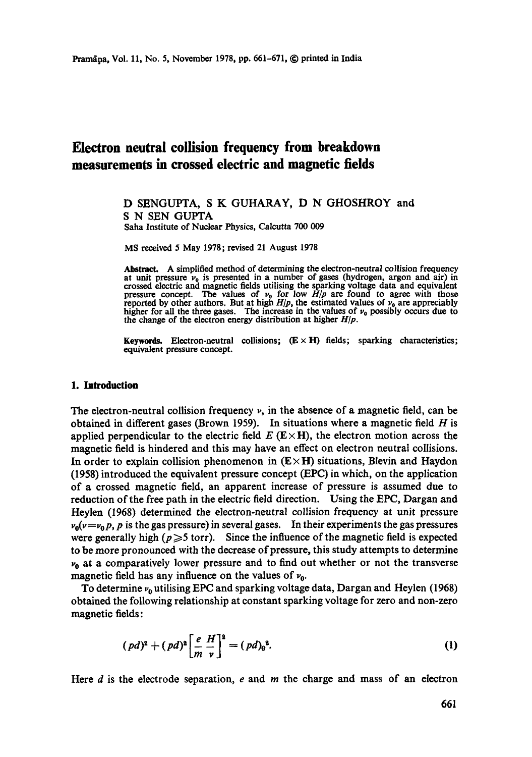# **Electron neutral collision frequency from breakdown measurements in crossed electric and magnetic fields**

## D SENGUPTA, S K GUHARAY, D N GHOSHROY and S N SEN GUPTA Saha Institute of Nuclear Physics, Calcutta 700 009

MS received 5 May 1978; revised 21 August 1978

Abstract. A simplified method of determining the electron-neutral collision frequency at unit pressure  $\nu_0$  is presented in a number of gases (hydrogen, argon and air) in crossed electric and magnetic fields utilising the sparking voltage data and equivalent pressure concept. The values of  $\nu_0$  for low

**Keywords.** Electron-neutral collisions;  $(E \times H)$  fields; sparking characteristics; equivalent pressure concept.

#### **1. Introduction**

The electron-neutral collision frequency  $\nu$ , in the absence of a magnetic field, can be obtained in different gases (Brown 1959). In situations where a magnetic field  $H$  is applied perpendicular to the electric field  $E$  (E $\times$ H), the electron motion across the magnetic field is hindered and this may have an effect on electron neutral collisions. In order to explain collision phenomenon in  $(E \times H)$  situations, Blevin and Haydon (1958) introduced the equivalent pressure concept (EPC) in which, on the application of a crossed magnetic field, an apparent increase of pressure is assumed due to reduction of the free path in the electric field direction. Using the EPC, Dargan and Heylen (1968) determined the electron-neutral collision frequency at unit pressure  $v_0(v=v_0 p, p$  is the gas pressure) in several gases. In their experiments the gas pressures were generally high ( $p \ge 5$  torr). Since the influence of the magnetic field is expected to be more pronounced with the decrease of pressure, this study attempts to determine  $\nu_0$  at a comparatively lower pressure and to find out whether or not the transverse magnetic field has any influence on the values of  $v_0$ .

To determine  $\nu_0$  utilising EPC and sparking voltage data, Dargan and Heylen (1968) obtained the following relationship at constant sparking voltage for zero and non-zero magnetic fields:

$$
(pd)^{2} + (pd)^{2} \left[ \frac{e}{m} \frac{H}{v} \right]^{2} = (pd)_{0}^{2}.
$$
 (1)

Here  $d$  is the electrode separation,  $e$  and  $m$  the charge and mass of an electron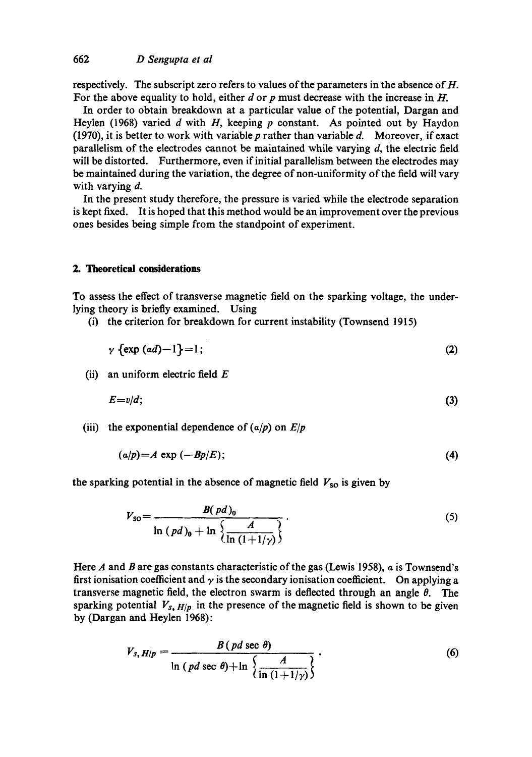respectively. The subscript zero refers to values of the parameters in the absence of  $H$ . For the above equality to hold, either  $d$  or  $p$  must decrease with the increase in  $H$ .

In order to obtain breakdown at a particular value of the potential, Dargan and Heylen (1968) varied d with H, keeping p constant. As pointed out by Haydon (1970), it is better to work with variable  $p$  rather than variable  $d$ . Moreover, if exact parallelism of the electrodes cannot be maintained while varying  $d$ , the electric field will be distorted. Furthermore, even if initial parallelism between the electrodes may be maintained during the variation, the degree of non-uniformity of the field will vary with varying d.

In the present study therefore, the pressure is varied while the electrode separation is kept fixed. It is hoped that this method would be an improvement over the previous ones besides being simple from the standpoint of experiment.

## **2. Theoretical considerations**

To assess the effect of transverse magnetic field on the sparking voltage, the underlying theory is briefly examined. Using

(i) the criterion for breakdown for current instability (Townsend 1915)

$$
\gamma \left\{ \exp\left( ad\right) -1\right\} =1;
$$
\n(2)

(ii) an uniform electric field  $E$ 

$$
E=v/d;\t\t(3)
$$

(iii) the exponential dependence of  $\left(\frac{a}{p}\right)$  on  $E/p$ 

$$
(a/p)=A \exp(-Bp/E); \qquad (4)
$$

the sparking potential in the absence of magnetic field  $V_{\rm so}$  is given by

$$
V_{\rm SO} = \frac{B(\,pd\,)_0}{\ln\,(pd\,)_0 + \ln\left\{\frac{A}{\ln\,(1+1/\gamma)}\right\}}\,. \tag{5}
$$

Here A and B are gas constants characteristic of the gas (Lewis 1958),  $\alpha$  is Townsend's first ionisation coefficient and  $\gamma$  is the secondary ionisation coefficient. On applying a transverse magnetic field, the electron swarm is deflected through an angle  $\theta$ . The sparking potential  $V_{s, H/p}$  in the presence of the magnetic field is shown to be given by (Dargan and Heylen 1968):

$$
V_{s, H/p} = \frac{B \left( pd \sec \theta \right)}{\ln \left( pd \sec \theta \right) + \ln \left\{ \frac{A}{\ln \left( 1 + 1/\gamma \right)} \right\}}.
$$
\n(6)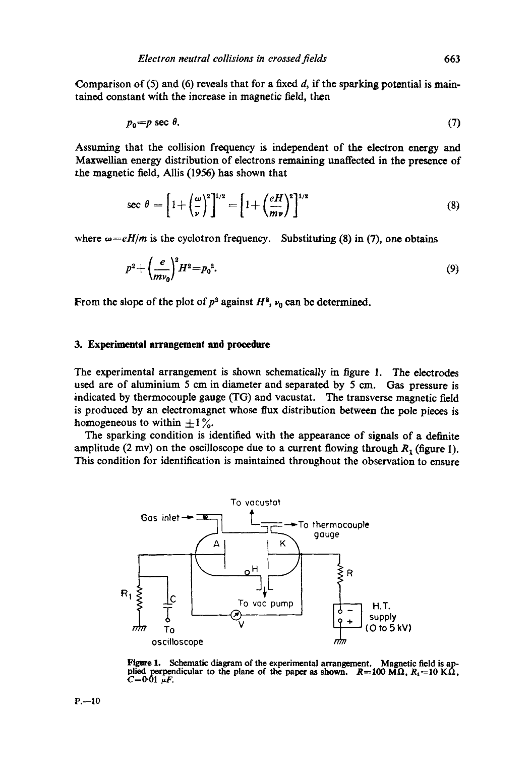Comparison of (5) and (6) reveals that for a fixed  $d$ , if the sparking potential is maintained constant with the increase in magnetic field, then

$$
p_0 = p \sec \theta. \tag{7}
$$

Assuming that the collision frequency is independent of the electron energy and Maxwellian energy distribution of electrons remaining unaffected in the presence of the magnetic field, Allis (1956) has shown that

$$
\sec \theta = \left[1 + \left(\frac{\omega}{\nu}\right)^2\right]^{1/2} = \left[1 + \left(\frac{eH}{mv}\right)^2\right]^{1/2} \tag{8}
$$

where  $\omega = eH/m$  is the cyclotron frequency. Substituting (8) in (7), one obtains

$$
p^2 + \left(\frac{e}{mv_0}\right)^2 H^2 = p_0^2. \tag{9}
$$

From the slope of the plot of  $p^2$  against  $H^2$ ,  $\nu_n$  can be determined.

#### **3. Experimental arrangement and procedure**

The experimental arrangement is shown schematically in figure 1. The electrodes used are of aluminium 5 cm in diameter and separated by 5 cm. Gas pressure is indicated by thermocouple gauge (TG) and vacustat. The transverse magnetic field is produced by an electromagnet whose flux distribution between the pole pieces is homogeneous to within  $\pm 1 \%$ .

The sparking condition is identified with the appearance of signals of a definite amplitude (2 mv) on the oscilloscope due to a current flowing through  $R_1$  (figure 1). This condition for identification is maintained throughout the observation to ensure



Figure 1. Schematic diagram of the experimental arrangement. Magnetic field is applied perpendicular to the plane of the paper as shown.  $R=100 \text{ M}\Omega$ ,  $R_1=10 \text{ K}\Omega$ ,  $C=0.01 \mu F$ .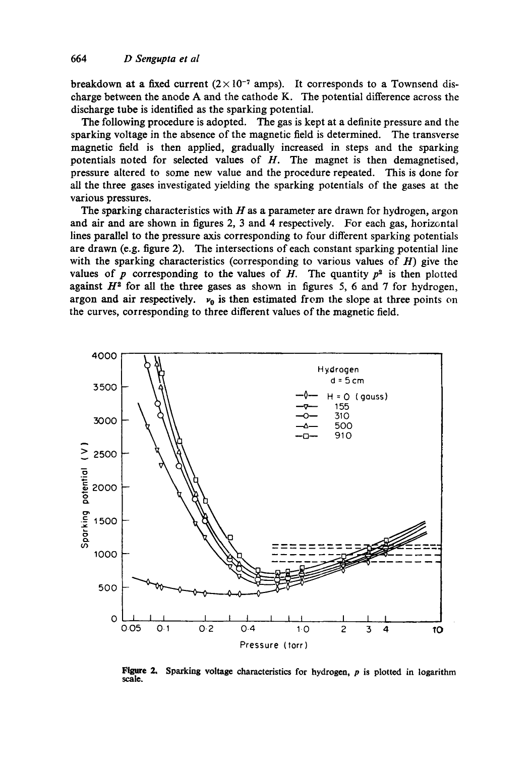breakdown at a fixed current  $(2 \times 10^{-7}$  amps). It corresponds to a Townsend discharge between the anode A and the cathode K. The potential difference across the discharge tube is identified as the sparking potential.

The following procedure is adopted. The gas is kept at a definite pressure and the sparking voltage in the absence of the magnetic field is determined. The transverse magnetic field is then applied, gradually increased in steps and the sparking potentials noted for selected values of H. The magnet is then demagnetised, pressure altered to some new value and the procedure repeated. This is done for all the three gases investigated yielding the sparking potentials of the gases at the various pressures.

The sparking characteristics with  $H$  as a parameter are drawn for hydrogen, argon and air and are shown in figures 2, 3 and 4 respectively. For each gas, horizontal lines parallel to the pressure axis corresponding to four different sparking potentials are drawn (e.g. figure 2). The intersections of each constant sparking potential line with the sparking characteristics (corresponding to various values of  $H$ ) give the values of p corresponding to the values of H. The quantity  $p^2$  is then plotted against  $H^2$  for all the three gases as shown in figures 5, 6 and 7 for hydrogen, **argon and air respectively.**  $v_0$  is then estimated from the slope at three points on the curves, corresponding to three different values of the magnetic field.



**Figure 2. Sparking voltage characteristics for hydrogen, p is plotted in logarithm scale.**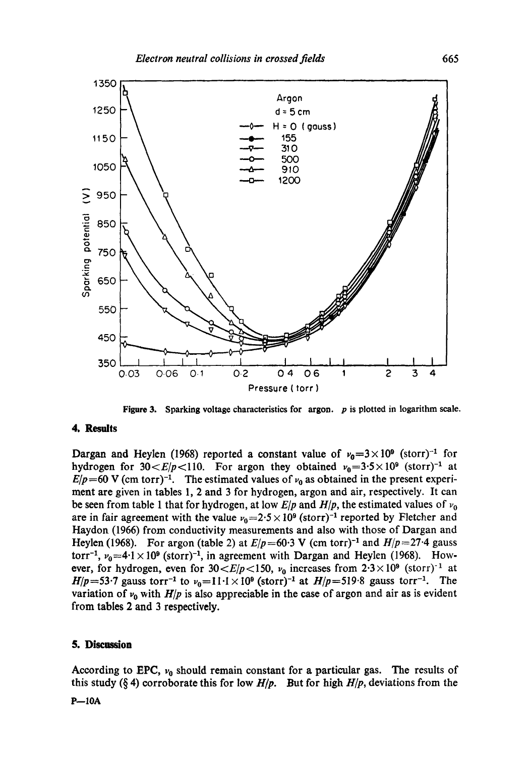

**Figure** 3. Sparking voltage characteristics for argon, p is plotted in logarithm scale.

#### **4. Results**

Dargan and Heylen (1968) reported a constant value of  $v_0=3\times10^6$  (storr)<sup>-1</sup> for hydrogen for  $30 \lt E/p \lt 110$ . For argon they obtained  $v_0 = 3.5 \times 10^9$  (storr)<sup>-1</sup> at  $E/p=60$  V (cm torr)<sup>-1</sup>. The estimated values of  $v_0$  as obtained in the present experiment are given in tables 1, 2 and 3 for hydrogen, argon and air, respectively. It can be seen from table 1 that for hydrogen, at low  $E/p$  and  $H/p$ , the estimated values of  $v_0$ are in fair agreement with the value  $v_0=2.5 \times 10^9$  (storr)<sup>-1</sup> reported by Fletcher and Haydon (1966) from conductivity measurements and also with those of Dargan and Heylen (1968). For argon (table 2) at  $E/p=60.3$  V (cm torr)<sup>-1</sup> and  $H/p=27.4$  gauss torr<sup>-1</sup>,  $v_0$ =4.1 × 10<sup>9</sup> (storr)<sup>-1</sup>, in agreement with Dargan and Heylen (1968). However, for hydrogen, even for  $30 < E/p < 150$ ,  $\nu_0$  increases from  $2.3 \times 10^9$  (storr)<sup>-1</sup> at *H* $/p=53.7$  gauss torr<sup>-1</sup> to  $v_0=11.1\times10^6$  (storr)<sup>-1</sup> at *H* $/p=519.8$  gauss torr<sup>-1</sup>. The variation of  $v_0$  with  $H/p$  is also appreciable in the case of argon and air as is evident from tables 2 and 3 respectively.

# **5. Disemsion**

According to EPC,  $v_0$  should remain constant for a particular gas. The results of this study (§ 4) corroborate this for low  $H/p$ . But for high  $H/p$ , deviations from the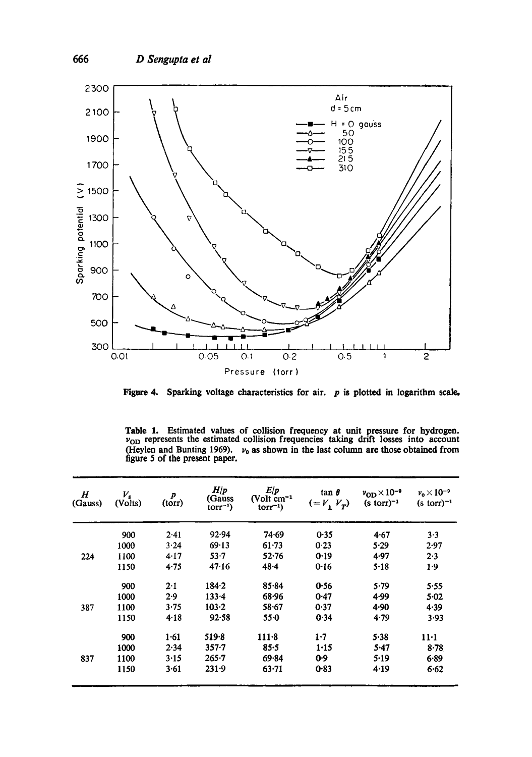

**Figure 4. Sparking voltage characteristics for air. p is plotted in logarithm scale,** 

Table 1. Estimated values of collision frequency at unit pressure for hydrogen.  $v_{OD}$  represents the estimated collision frequencies taking drift losses into account (Heylen and Bunting 1969).  $v_0$  as shown in the last column are those obtained from figure 5 of the present paper.

| $\boldsymbol{H}$<br>(Gauss) | $V_{\rm s}$<br>(Volts) | $\boldsymbol{p}$<br>(torr) | H/p<br>(Gauss<br>$torr^{-1}$ | E/p<br>(Volt cm <sup>-1</sup><br>$torr^{-1}$ | $tan \theta$<br>$( = V_1 V_T)$ | $v_{OD} \times 10^{-9}$<br>$(s \text{ torr})^{-1}$ | $v_0 \times 10^{-9}$<br>$(s \text{ torr})^{-1}$ |
|-----------------------------|------------------------|----------------------------|------------------------------|----------------------------------------------|--------------------------------|----------------------------------------------------|-------------------------------------------------|
|                             | 900                    | 2.41                       | 92.94                        | 74.69                                        | 0.35                           | 4.67                                               | $3 - 3$                                         |
|                             | 1000                   | 3.24                       | 69.13                        | $61 - 73$                                    | 0.23                           | 5.29                                               | 2.97                                            |
| 224                         | 1100                   | 4.17                       | $53 - 7$                     | 52.76                                        | 0.19                           | 4.97                                               | 2.3                                             |
|                             | 1150                   | 4.75                       | 47.16                        | 48.4                                         | 0.16                           | $5 - 18$                                           | $1-9$                                           |
|                             | 900                    | 2.1                        | 184.2                        | 85.84                                        | 0.56                           | 5.79                                               | 5.55                                            |
|                             | 1000                   | 2.9                        | $133 - 4$                    | 68.96                                        | 0.47                           | 4.99                                               | 5.02                                            |
| 387                         | 1100                   | 3.75                       | 103.2                        | 58.67                                        | 0.37                           | 4.90                                               | 4.39                                            |
|                             | 1150                   | 4.18                       | 92.58                        | $55 - 0$                                     | 0.34                           | 4.79                                               | 3.93                                            |
|                             | 900                    | 1.61                       | 519.8                        | $111 - 8$                                    | 1.7                            | 5.38                                               | $11-1$                                          |
|                             | 1000                   | 2.34                       | $357 - 7$                    | 85.5                                         | 1.15                           | $5-47$                                             | $8 - 78$                                        |
| 837                         | 1100                   | 3.15                       | $265 - 7$                    | 69.84                                        | 0.9                            | 5.19                                               | 6.89                                            |
|                             | 1150                   | 3.61                       | 231.9                        | 63.71                                        | 0.83                           | 4.19                                               | 6.62                                            |
|                             |                        |                            |                              |                                              |                                |                                                    |                                                 |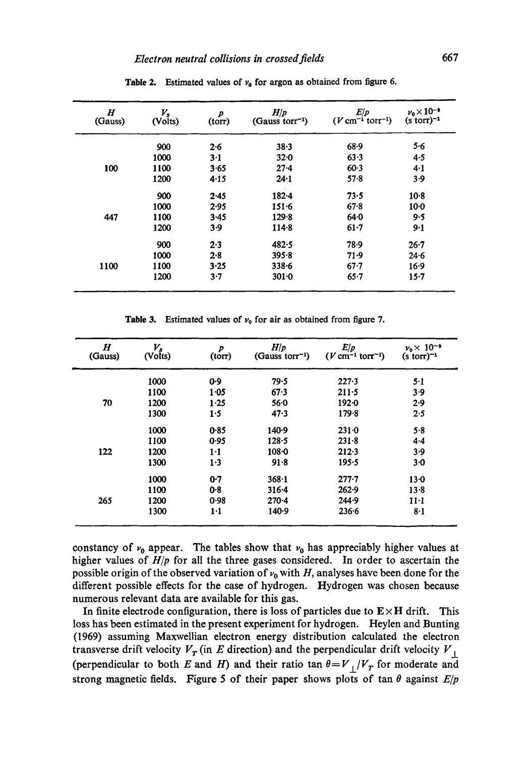| $\bm H$<br>(Gauss) | $V_{s}$<br>(Volts) | $\boldsymbol{p}$<br>(torr) | H/p<br>$(Gauss torr^{-1})$ | E/p<br>$(V \text{ cm}^{-1} \text{ torr}^{-1})$ | $\nu_{\rm e}$ $\times$ 10 <sup>-9</sup><br>$(s \text{ torr})^{-1}$ |
|--------------------|--------------------|----------------------------|----------------------------|------------------------------------------------|--------------------------------------------------------------------|
|                    | 900                | $2 - 6$                    | 38.3                       | 68.9                                           | $5 - 6$                                                            |
|                    | 1000               | $3-1$                      | 32.0                       | 63.3                                           | 4.5                                                                |
| 100                | 1100               | 3.65                       | $27 - 4$                   | 60.3                                           | 4.1                                                                |
|                    | 1200               | 4.15                       | 24.1                       | $57 - 8$                                       | 3.9                                                                |
|                    | 900                | 2.45                       | $182 - 4$                  | 73.5                                           | $10-8$                                                             |
|                    | 1000               | 2.95                       | $151 - 6$                  | $67 - 8$                                       | $10 - 0$                                                           |
| 447                | 1100               | 3.45                       | $129 - 8$                  | 64.0                                           | 9.5                                                                |
|                    | 1200               | 3.9                        | $114 - 8$                  | 61.7                                           | 9.1                                                                |
|                    | 900                | 2.3                        | 482.5                      | 78.9                                           | $26 - 7$                                                           |
|                    | 1000               | 2.8                        | 395.8                      | 71.9                                           | 24.6                                                               |
| 1100               | 1100               | 3.25                       | $338 - 6$                  | $67 - 7$                                       | 16.9                                                               |
|                    | 1200               | $3-7$                      | $301 - 0$                  | $65 - 7$                                       | $15 - 7$                                                           |

**Table 2.** Estimated values of  $v_0$  for argon as obtained from figure 6.

Table 3. Estimated values of  $\nu_0$  for air as obtained from figure 7.

| $\boldsymbol{H}$<br>(Gauss) | $V_{s}$<br>(Volts) | $\boldsymbol{p}$<br>$(t$ orr $)$ | H/p<br>(Gauss torr <sup>-1</sup> ) | E/p<br>$(V \text{ cm}^{-1} \text{ tor}^{-1})$ | $v_0 \times 10^{-9}$<br>$(s \text{ torr})^{-1}$ |
|-----------------------------|--------------------|----------------------------------|------------------------------------|-----------------------------------------------|-------------------------------------------------|
|                             | 1000               | 0.9                              | 79.5                               | $227 - 3$                                     | $5-1$                                           |
|                             | 1100               | 1.05                             | 67.3                               | $211 - 5$                                     | 3.9                                             |
| 70                          | 1200               | 1.25                             | $56 - 0$                           | 1920                                          | 2.9                                             |
|                             | 1300               | 1.5                              | 47.3                               | 179.8                                         | 2.5                                             |
|                             | 1000               | 0.85                             | 140.9                              | $231 - 0$                                     | 5.8                                             |
|                             | 1100               | 0.95                             | $128 - 5$                          | $231 - 8$                                     | 4.4                                             |
| 122                         | 1200               | 1·1                              | $108 - 0$                          | 212.3                                         | 3.9                                             |
|                             | 1300               | 1.3                              | 91.8                               | 195.5                                         | 3·0                                             |
|                             | 1000               | 0.7                              | $368 - 1$                          | $277 - 7$                                     | 13.0                                            |
|                             | 1100               | 0.8                              | $316 - 4$                          | 262.9                                         | 13.8                                            |
| 265                         | 1200               | 0.98                             | $270 - 4$                          | 244.9                                         | $11-1$                                          |
|                             | 1300               | $1-1$                            | 140.9                              | 236.6                                         | 8·1                                             |

constancy of  $v_0$  appear. The tables show that  $v_0$  has appreciably higher values at higher values of *Hip* for all the three gases considered. In order to ascertain the possible origin of the observed variation of  $v_0$  with H, analyses have been done for the different possible effects for the case of hydrogen. Hydrogen was chosen because numerous relevant data are available for this gas.

In finite electrode configuration, there is loss of particles due to  $E \times H$  drift. This loss has been estimated in the present experiment for hydrogen. Heylen and Bunting (1969) assuming Maxwellian electron energy distribution calculated the electron transverse drift velocity  $V_T$  (in E direction) and the perpendicular drift velocity  $V_\perp$ (perpendicular to both E and H) and their ratio tan  $\theta = V_{\perp}/V_T$  for moderate and strong magnetic fields. Figure 5 of their paper shows plots of tan  $\theta$  against  $E/p$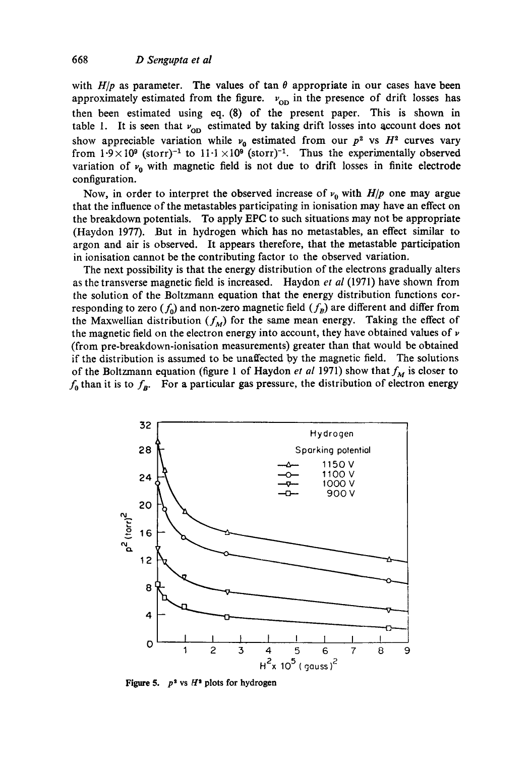with  $H/p$  as parameter. The values of tan  $\theta$  appropriate in our cases have been approximately estimated from the figure.  $v_{OD}$  in the presence of drift losses has then been estimated using eq. (8) of the present paper. This is shown in table 1. It is seen that  $v_{OD}$  estimated by taking drift losses into account does not show appreciable variation while  $v_0$  estimated from our  $p^2$  vs  $H^2$  curves vary from  $1.9 \times 10^9$  (storr)<sup>-1</sup> to  $11.1 \times 10^9$  (storr)<sup>-1</sup>. Thus the experimentally observed variation of  $v_0$  with magnetic field is not due to drift losses in finite electrode configuration.

Now, in order to interpret the observed increase of  $\nu_0$  with *H*/*p* one may argue that the influence of the metastables participating in ionisation may have an effect on the breakdown potentials. To apply EFC to such situations may not be appropriate (Haydon 1977). But in hydrogen which has no metastables, an effect similar to argon and air is observed. It appears therefore, that the metastable participation in ionisation cannot be the contributing factor to the observed variation.

The next possibility is that the energy distribution of the electrons gradually alters as the transverse magnetic field is increased. Haydon *et al* (1971) have shown from the solution of the Boltzmann equation that the energy distribution functions corresponding to zero  $(f_0)$  and non-zero magnetic field  $(f_B)$  are different and differ from the Maxwellian distribution  $(f_M)$  for the same mean energy. Taking the effect of the magnetic field on the electron energy into account, they have obtained values of  $\nu$ (from pre-breakdown-ionisation measurements) greater than that would be obtained if the distribution is assumed to be unaffected by the magnetic field. The solutions of the Boltzmann equation (figure 1 of Haydon *et al* 1971) show that  $f_M$  is closer to  $f_0$  than it is to  $f_B$ . For a particular gas pressure, the distribution of electron energy



**Figure 5.**  $p^2$  vs  $H^2$  plots for hydrogen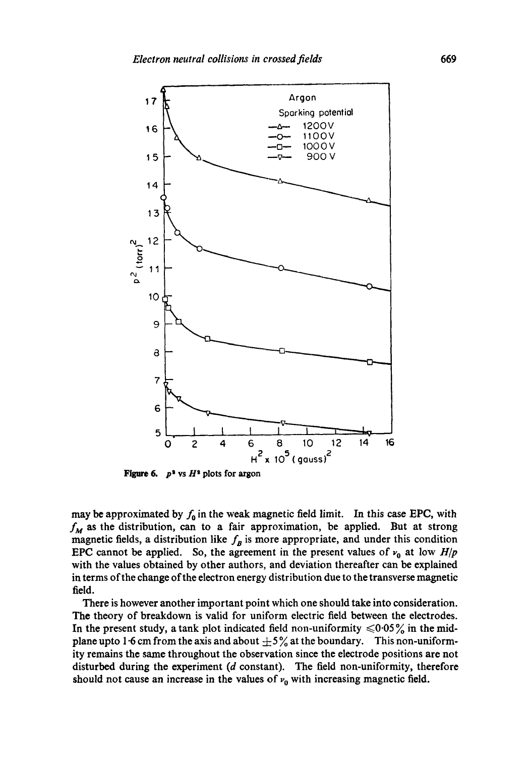

**Figure 6.**  $p^2$  vs  $H^2$  plots for argon

may be approximated by  $f_0$  in the weak magnetic field limit. In this case EPC, with  $f_M$  as the distribution, can to a fair approximation, be applied. But at strong magnetic fields, a distribution like  $f_B$  is more appropriate, and under this condition EPC cannot be applied. So, the agreement in the present values of  $v_0$  at low  $H/p$ with the values obtained by other authors, and deviation thereafter can be explained in terms of the change of the electron energy distribution due to the transverse magnetic field.

There is however another important point which one should take into consideration. The theory of breakdown is valid for uniform electric field between the electrodes. In the present study, a tank plot indicated field non-uniformity  $\leq 0.05\%$  in the midplane upto 1.6 cm from the axis and about  $\pm 5\%$  at the boundary. This non-uniformity remains the same throughout the observation since the electrode positions are not disturbed during the experiment (d constant). The field non-uniformity, therefore should not cause an increase in the values of  $v_0$  with increasing magnetic field.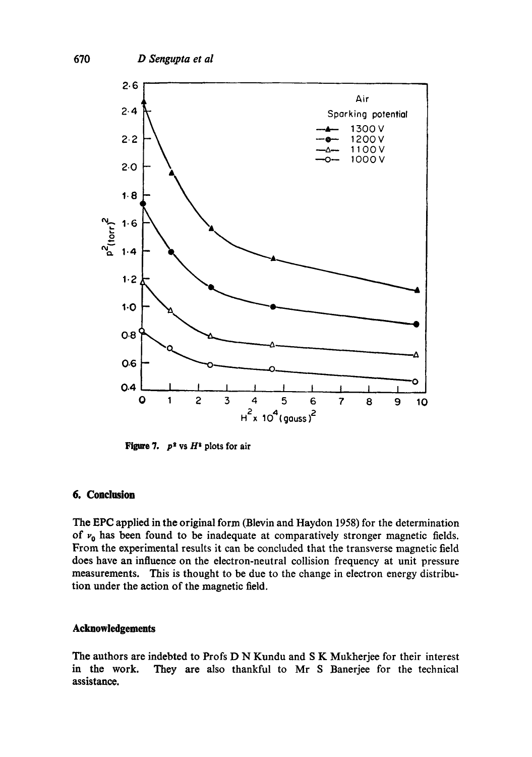

**Figure 7.**  $p^2$  vs  $H^2$  plots for air

# **6. Conclusion**

The EPC applied in the original form (Blevin and Haydon 1958) for the determination of  $v_0$  has been found to be inadequate at comparatively stronger magnetic fields. From the experimental results it can be concluded that the transverse magnetic field does have an influence on the electron-neutral collision frequency at unit pressure measurements. This is thought to be due to the change in electron energy distribution under the action of the magnetic field.

# **Acknowledgements**

The authors are indebted to Profs D N Kundu and S K Mukherjee for their interest<br>in the work. They are also thankful to Mr S Banerjee for the technical They are also thankful to Mr S Banerjee for the technical **assistance.**